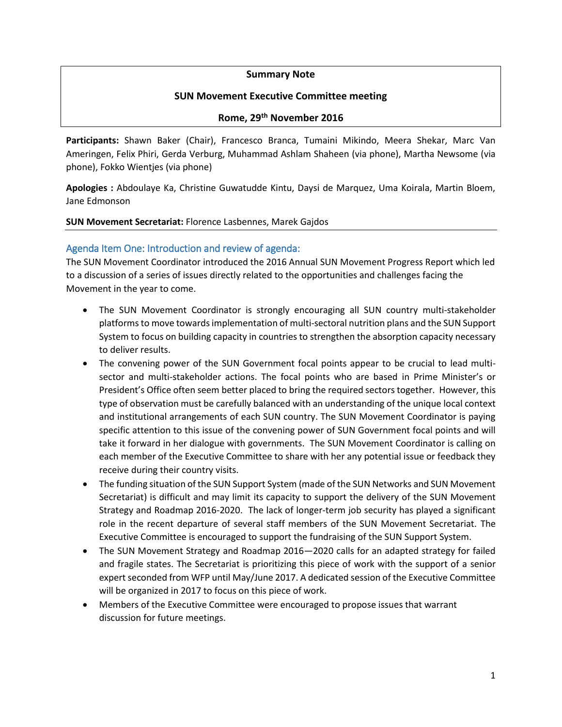### **Summary Note**

### **SUN Movement Executive Committee meeting**

### **Rome, 29th November 2016**

**Participants:** Shawn Baker (Chair), Francesco Branca, Tumaini Mikindo, Meera Shekar, Marc Van Ameringen, Felix Phiri, Gerda Verburg, Muhammad Ashlam Shaheen (via phone), Martha Newsome (via phone), Fokko Wientjes (via phone)

**Apologies :** Abdoulaye Ka, Christine Guwatudde Kintu, Daysi de Marquez, Uma Koirala, Martin Bloem, Jane Edmonson

#### **SUN Movement Secretariat:** Florence Lasbennes, Marek Gajdos

### Agenda Item One: Introduction and review of agenda:

The SUN Movement Coordinator introduced the 2016 Annual SUN Movement Progress Report which led to a discussion of a series of issues directly related to the opportunities and challenges facing the Movement in the year to come.

- The SUN Movement Coordinator is strongly encouraging all SUN country multi-stakeholder platformsto move towards implementation of multi-sectoral nutrition plans and the SUN Support System to focus on building capacity in countries to strengthen the absorption capacity necessary to deliver results.
- The convening power of the SUN Government focal points appear to be crucial to lead multisector and multi-stakeholder actions. The focal points who are based in Prime Minister's or President's Office often seem better placed to bring the required sectors together. However, this type of observation must be carefully balanced with an understanding of the unique local context and institutional arrangements of each SUN country. The SUN Movement Coordinator is paying specific attention to this issue of the convening power of SUN Government focal points and will take it forward in her dialogue with governments. The SUN Movement Coordinator is calling on each member of the Executive Committee to share with her any potential issue or feedback they receive during their country visits.
- The funding situation of the SUN Support System (made of the SUN Networks and SUN Movement Secretariat) is difficult and may limit its capacity to support the delivery of the SUN Movement Strategy and Roadmap 2016-2020. The lack of longer-term job security has played a significant role in the recent departure of several staff members of the SUN Movement Secretariat. The Executive Committee is encouraged to support the fundraising of the SUN Support System.
- The SUN Movement Strategy and Roadmap 2016—2020 calls for an adapted strategy for failed and fragile states. The Secretariat is prioritizing this piece of work with the support of a senior expert seconded from WFP until May/June 2017. A dedicated session of the Executive Committee will be organized in 2017 to focus on this piece of work.
- Members of the Executive Committee were encouraged to propose issues that warrant discussion for future meetings.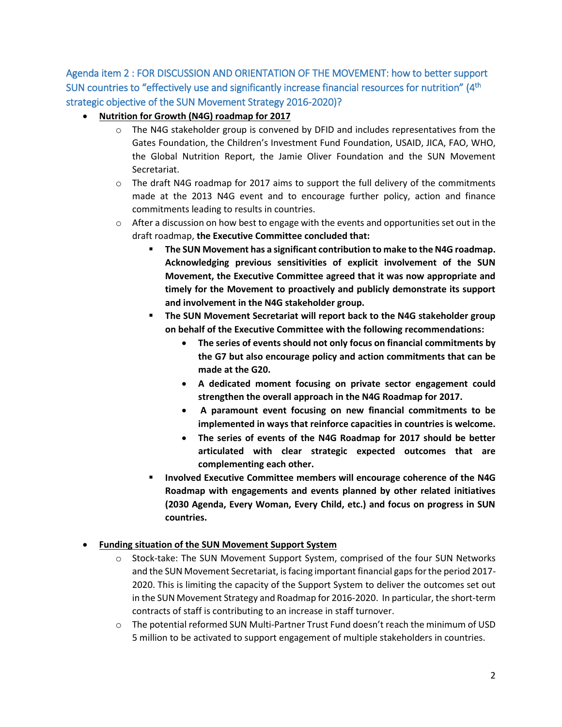Agenda item 2 : FOR DISCUSSION AND ORIENTATION OF THE MOVEMENT: how to better support SUN countries to "effectively use and significantly increase financial resources for nutrition" (4<sup>th</sup> strategic objective of the SUN Movement Strategy 2016-2020)?

- **Nutrition for Growth (N4G) roadmap for 2017**
	- $\circ$  The N4G stakeholder group is convened by DFID and includes representatives from the Gates Foundation, the Children's Investment Fund Foundation, USAID, JICA, FAO, WHO, the Global Nutrition Report, the Jamie Oliver Foundation and the SUN Movement Secretariat.
	- $\circ$  The draft N4G roadmap for 2017 aims to support the full delivery of the commitments made at the 2013 N4G event and to encourage further policy, action and finance commitments leading to results in countries.
	- $\circ$  After a discussion on how best to engage with the events and opportunities set out in the draft roadmap, **the Executive Committee concluded that:** 
		- **The SUN Movement has a significant contribution to make to the N4G roadmap. Acknowledging previous sensitivities of explicit involvement of the SUN Movement, the Executive Committee agreed that it was now appropriate and timely for the Movement to proactively and publicly demonstrate its support and involvement in the N4G stakeholder group.**
		- **The SUN Movement Secretariat will report back to the N4G stakeholder group on behalf of the Executive Committee with the following recommendations:**
			- **The series of events should not only focus on financial commitments by the G7 but also encourage policy and action commitments that can be made at the G20.**
			- **A dedicated moment focusing on private sector engagement could strengthen the overall approach in the N4G Roadmap for 2017.**
			- **A paramount event focusing on new financial commitments to be implemented in ways that reinforce capacities in countries is welcome.**
			- **The series of events of the N4G Roadmap for 2017 should be better articulated with clear strategic expected outcomes that are complementing each other.**
		- **Involved Executive Committee members will encourage coherence of the N4G Roadmap with engagements and events planned by other related initiatives (2030 Agenda, Every Woman, Every Child, etc.) and focus on progress in SUN countries.**

## **Funding situation of the SUN Movement Support System**

- $\circ$  Stock-take: The SUN Movement Support System, comprised of the four SUN Networks and the SUN Movement Secretariat, is facing important financial gaps for the period 2017-2020. This is limiting the capacity of the Support System to deliver the outcomes set out in the SUN Movement Strategy and Roadmap for 2016-2020. In particular, the short-term contracts of staff is contributing to an increase in staff turnover.
- o The potential reformed SUN Multi-Partner Trust Fund doesn't reach the minimum of USD 5 million to be activated to support engagement of multiple stakeholders in countries.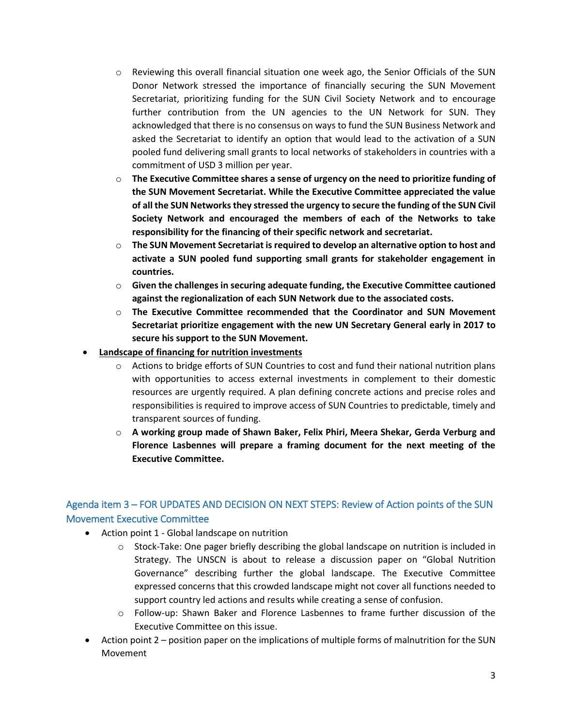- $\circ$  Reviewing this overall financial situation one week ago, the Senior Officials of the SUN Donor Network stressed the importance of financially securing the SUN Movement Secretariat, prioritizing funding for the SUN Civil Society Network and to encourage further contribution from the UN agencies to the UN Network for SUN. They acknowledged that there is no consensus on ways to fund the SUN Business Network and asked the Secretariat to identify an option that would lead to the activation of a SUN pooled fund delivering small grants to local networks of stakeholders in countries with a commitment of USD 3 million per year.
- o **The Executive Committee shares a sense of urgency on the need to prioritize funding of the SUN Movement Secretariat. While the Executive Committee appreciated the value of all the SUN Networks they stressed the urgency to secure the funding of the SUN Civil Society Network and encouraged the members of each of the Networks to take responsibility for the financing of their specific network and secretariat.**
- o **The SUN Movement Secretariat is required to develop an alternative option to host and activate a SUN pooled fund supporting small grants for stakeholder engagement in countries.**
- o **Given the challenges in securing adequate funding, the Executive Committee cautioned against the regionalization of each SUN Network due to the associated costs.**
- o **The Executive Committee recommended that the Coordinator and SUN Movement Secretariat prioritize engagement with the new UN Secretary General early in 2017 to secure his support to the SUN Movement.**
- **Landscape of financing for nutrition investments**
	- $\circ$  Actions to bridge efforts of SUN Countries to cost and fund their national nutrition plans with opportunities to access external investments in complement to their domestic resources are urgently required. A plan defining concrete actions and precise roles and responsibilities is required to improve access of SUN Countries to predictable, timely and transparent sources of funding.
	- o **A working group made of Shawn Baker, Felix Phiri, Meera Shekar, Gerda Verburg and Florence Lasbennes will prepare a framing document for the next meeting of the Executive Committee.**

# Agenda item 3 – FOR UPDATES AND DECISION ON NEXT STEPS: Review of Action points of the SUN Movement Executive Committee

- Action point 1 Global landscape on nutrition
	- $\circ$  Stock-Take: One pager briefly describing the global landscape on nutrition is included in Strategy. The UNSCN is about to release a discussion paper on "Global Nutrition Governance" describing further the global landscape. The Executive Committee expressed concerns that this crowded landscape might not cover all functions needed to support country led actions and results while creating a sense of confusion.
	- o Follow-up: Shawn Baker and Florence Lasbennes to frame further discussion of the Executive Committee on this issue.
- Action point 2 position paper on the implications of multiple forms of malnutrition for the SUN Movement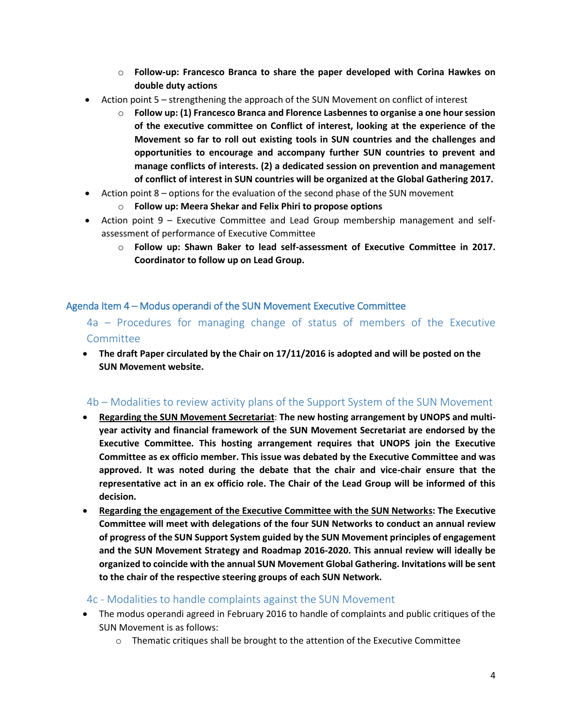- o **Follow-up: Francesco Branca to share the paper developed with Corina Hawkes on double duty actions**
- Action point 5 strengthening the approach of the SUN Movement on conflict of interest
	- Follow up: (1) Francesco Branca and Florence Lasbennes to organise a one hour session **of the executive committee on Conflict of interest, looking at the experience of the Movement so far to roll out existing tools in SUN countries and the challenges and opportunities to encourage and accompany further SUN countries to prevent and manage conflicts of interests. (2) a dedicated session on prevention and management of conflict of interest in SUN countries will be organized at the Global Gathering 2017.**
- Action point 8 options for the evaluation of the second phase of the SUN movement
	- o **Follow up: Meera Shekar and Felix Phiri to propose options**
- Action point 9 Executive Committee and Lead Group membership management and selfassessment of performance of Executive Committee
	- o **Follow up: Shawn Baker to lead self-assessment of Executive Committee in 2017. Coordinator to follow up on Lead Group.**

## Agenda Item 4 – Modus operandi of the SUN Movement Executive Committee

4a – Procedures for managing change of status of members of the Executive Committee

 **The draft Paper circulated by the Chair on 17/11/2016 is adopted and will be posted on the SUN Movement website.**

## 4b – Modalities to review activity plans of the Support System of the SUN Movement

- **Regarding the SUN Movement Secretariat**: **The new hosting arrangement by UNOPS and multiyear activity and financial framework of the SUN Movement Secretariat are endorsed by the Executive Committee. This hosting arrangement requires that UNOPS join the Executive Committee as ex officio member. This issue was debated by the Executive Committee and was approved. It was noted during the debate that the chair and vice-chair ensure that the representative act in an ex officio role. The Chair of the Lead Group will be informed of this decision.**
- **Regarding the engagement of the Executive Committee with the SUN Networks: The Executive Committee will meet with delegations of the four SUN Networks to conduct an annual review of progress of the SUN Support System guided by the SUN Movement principles of engagement and the SUN Movement Strategy and Roadmap 2016-2020. This annual review will ideally be organized to coincide with the annual SUN Movement Global Gathering. Invitations will be sent to the chair of the respective steering groups of each SUN Network.**

## 4c - Modalities to handle complaints against the SUN Movement

- The modus operandi agreed in February 2016 to handle of complaints and public critiques of the SUN Movement is as follows:
	- $\circ$  Thematic critiques shall be brought to the attention of the Executive Committee